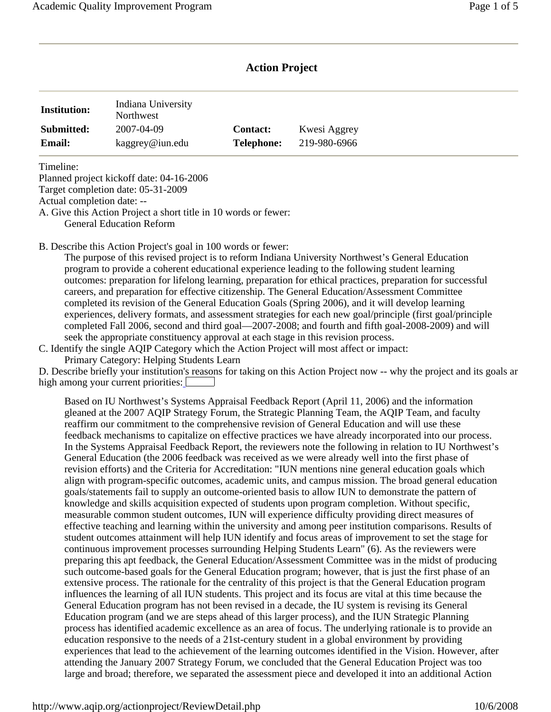# **Action Project**

| <b>Institution:</b> | Indiana University<br><b>Northwest</b> |                   |              |
|---------------------|----------------------------------------|-------------------|--------------|
| Submitted:          | 2007-04-09                             | <b>Contact:</b>   | Kwesi Aggrey |
| <b>Email:</b>       | kaggrey@iun.edu                        | <b>Telephone:</b> | 219-980-6966 |

Timeline:

Planned project kickoff date: 04-16-2006 Target completion date: 05-31-2009

Actual completion date: --

A. Give this Action Project a short title in 10 words or fewer: General Education Reform

B. Describe this Action Project's goal in 100 words or fewer:

The purpose of this revised project is to reform Indiana University Northwest's General Education program to provide a coherent educational experience leading to the following student learning outcomes: preparation for lifelong learning, preparation for ethical practices, preparation for successful careers, and preparation for effective citizenship. The General Education/Assessment Committee completed its revision of the General Education Goals (Spring 2006), and it will develop learning experiences, delivery formats, and assessment strategies for each new goal/principle (first goal/principle completed Fall 2006, second and third goal—2007-2008; and fourth and fifth goal-2008-2009) and will seek the appropriate constituency approval at each stage in this revision process.

C. Identify the single AQIP Category which the Action Project will most affect or impact: Primary Category: Helping Students Learn

D. Describe briefly your institution's reasons for taking on this Action Project now -- why the project and its goals ar high among your current priorities:

Based on IU Northwest's Systems Appraisal Feedback Report (April 11, 2006) and the information gleaned at the 2007 AQIP Strategy Forum, the Strategic Planning Team, the AQIP Team, and faculty reaffirm our commitment to the comprehensive revision of General Education and will use these feedback mechanisms to capitalize on effective practices we have already incorporated into our process. In the Systems Appraisal Feedback Report, the reviewers note the following in relation to IU Northwest's General Education (the 2006 feedback was received as we were already well into the first phase of revision efforts) and the Criteria for Accreditation: "IUN mentions nine general education goals which align with program-specific outcomes, academic units, and campus mission. The broad general education goals/statements fail to supply an outcome-oriented basis to allow IUN to demonstrate the pattern of knowledge and skills acquisition expected of students upon program completion. Without specific, measurable common student outcomes, IUN will experience difficulty providing direct measures of effective teaching and learning within the university and among peer institution comparisons. Results of student outcomes attainment will help IUN identify and focus areas of improvement to set the stage for continuous improvement processes surrounding Helping Students Learn" (6). As the reviewers were preparing this apt feedback, the General Education/Assessment Committee was in the midst of producing such outcome-based goals for the General Education program; however, that is just the first phase of an extensive process. The rationale for the centrality of this project is that the General Education program influences the learning of all IUN students. This project and its focus are vital at this time because the General Education program has not been revised in a decade, the IU system is revising its General Education program (and we are steps ahead of this larger process), and the IUN Strategic Planning process has identified academic excellence as an area of focus. The underlying rationale is to provide an education responsive to the needs of a 21st-century student in a global environment by providing experiences that lead to the achievement of the learning outcomes identified in the Vision. However, after attending the January 2007 Strategy Forum, we concluded that the General Education Project was too large and broad; therefore, we separated the assessment piece and developed it into an additional Action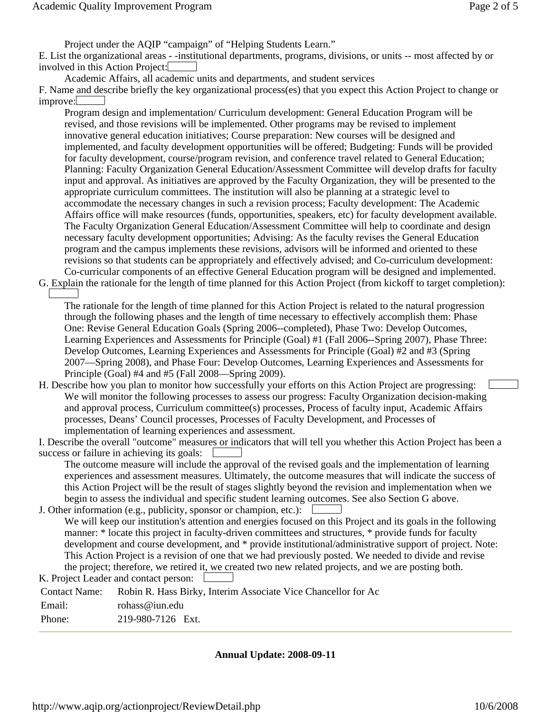Project under the AQIP "campaign" of "Helping Students Learn."

E. List the organizational areas - -institutional departments, programs, divisions, or units -- most affected by or involved in this Action Project:

Academic Affairs, all academic units and departments, and student services

F. Name and describe briefly the key organizational process(es) that you expect this Action Project to change or improve:

 accommodate the necessary changes in such a revision process; Faculty development: The Academic Program design and implementation/ Curriculum development: General Education Program will be revised, and those revisions will be implemented. Other programs may be revised to implement innovative general education initiatives; Course preparation: New courses will be designed and implemented, and faculty development opportunities will be offered; Budgeting: Funds will be provided for faculty development, course/program revision, and conference travel related to General Education; Planning: Faculty Organization General Education/Assessment Committee will develop drafts for faculty input and approval. As initiatives are approved by the Faculty Organization, they will be presented to the appropriate curriculum committees. The institution will also be planning at a strategic level to Affairs office will make resources (funds, opportunities, speakers, etc) for faculty development available. The Faculty Organization General Education/Assessment Committee will help to coordinate and design necessary faculty development opportunities; Advising: As the faculty revises the General Education program and the campus implements these revisions, advisors will be informed and oriented to these revisions so that students can be appropriately and effectively advised; and Co-curriculum development: Co-curricular components of an effective General Education program will be designed and implemented.

G. Explain the rationale for the length of time planned for this Action Project (from kickoff to target completion):

The rationale for the length of time planned for this Action Project is related to the natural progression through the following phases and the length of time necessary to effectively accomplish them: Phase One: Revise General Education Goals (Spring 2006--completed), Phase Two: Develop Outcomes, Learning Experiences and Assessments for Principle (Goal) #1 (Fall 2006--Spring 2007), Phase Three: Develop Outcomes, Learning Experiences and Assessments for Principle (Goal) #2 and #3 (Spring 2007—Spring 2008), and Phase Four: Develop Outcomes, Learning Experiences and Assessments for Principle (Goal) #4 and #5 (Fall 2008—Spring 2009).

H. Describe how you plan to monitor how successfully your efforts on this Action Project are progressing: We will monitor the following processes to assess our progress: Faculty Organization decision-making and approval process, Curriculum committee(s) processes, Process of faculty input, Academic Affairs processes, Deans' Council processes, Processes of Faculty Development, and Processes of implementation of learning experiences and assessment.

 success or failure in achieving its goals: I. Describe the overall "outcome" measures or indicators that will tell you whether this Action Project has been a

The outcome measure will include the approval of the revised goals and the implementation of learning experiences and assessment measures. Ultimately, the outcome measures that will indicate the success of this Action Project will be the result of stages slightly beyond the revision and implementation when we begin to assess the individual and specific student learning outcomes. See also Section G above.

J. Other information (e.g., publicity, sponsor or champion, etc.):

We will keep our institution's attention and energies focused on this Project and its goals in the following manner: \* locate this project in faculty-driven committees and structures, \* provide funds for faculty development and course development, and \* provide institutional/administrative support of project. Note: This Action Project is a revision of one that we had previously posted. We needed to divide and revise the project; therefore, we retired it, we created two new related projects, and we are posting both.

|               | K. Project Leader and contact person:                                       |  |  |
|---------------|-----------------------------------------------------------------------------|--|--|
|               | Contact Name: Robin R. Hass Birky, Interim Associate Vice Chancellor for Ac |  |  |
| Email:        | rohass@iun.edu                                                              |  |  |
| $\mathbf{D1}$ | 0.10,000,0100,01                                                            |  |  |

Phone: 219-980-7126 Ext.

**Annual Update: 2008-09-11**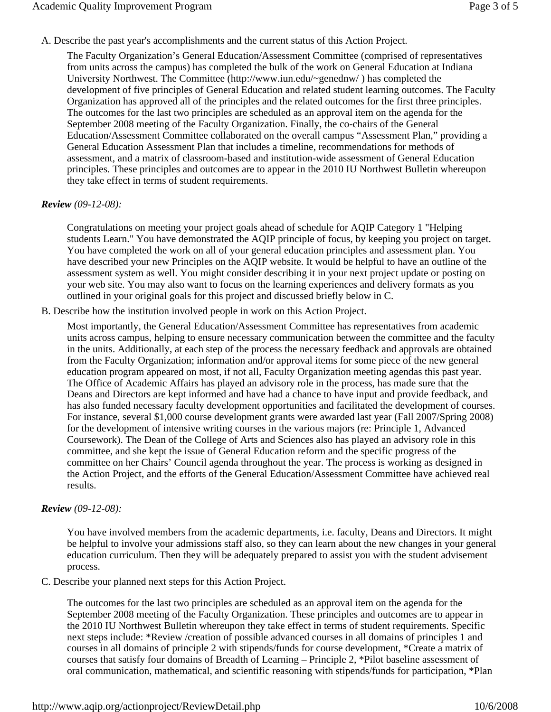A. Describe the past year's accomplishments and the current status of this Action Project.

The Faculty Organization's General Education/Assessment Committee (comprised of representatives from units across the campus) has completed the bulk of the work on General Education at Indiana University Northwest. The Committee (http://www.iun.edu/~genednw/ ) has completed the development of five principles of General Education and related student learning outcomes. The Faculty Organization has approved all of the principles and the related outcomes for the first three principles. The outcomes for the last two principles are scheduled as an approval item on the agenda for the September 2008 meeting of the Faculty Organization. Finally, the co-chairs of the General Education/Assessment Committee collaborated on the overall campus "Assessment Plan," providing a General Education Assessment Plan that includes a timeline, recommendations for methods of assessment, and a matrix of classroom-based and institution-wide assessment of General Education principles. These principles and outcomes are to appear in the 2010 IU Northwest Bulletin whereupon they take effect in terms of student requirements.

### *Review (09-12-08):*

Congratulations on meeting your project goals ahead of schedule for AQIP Category 1 "Helping students Learn." You have demonstrated the AQIP principle of focus, by keeping you project on target. You have completed the work on all of your general education principles and assessment plan. You have described your new Principles on the AQIP website. It would be helpful to have an outline of the assessment system as well. You might consider describing it in your next project update or posting on your web site. You may also want to focus on the learning experiences and delivery formats as you outlined in your original goals for this project and discussed briefly below in C.

B. Describe how the institution involved people in work on this Action Project.

 the Action Project, and the efforts of the General Education/Assessment Committee have achieved real Most importantly, the General Education/Assessment Committee has representatives from academic units across campus, helping to ensure necessary communication between the committee and the faculty in the units. Additionally, at each step of the process the necessary feedback and approvals are obtained from the Faculty Organization; information and/or approval items for some piece of the new general education program appeared on most, if not all, Faculty Organization meeting agendas this past year. The Office of Academic Affairs has played an advisory role in the process, has made sure that the Deans and Directors are kept informed and have had a chance to have input and provide feedback, and has also funded necessary faculty development opportunities and facilitated the development of courses. For instance, several \$1,000 course development grants were awarded last year (Fall 2007/Spring 2008) for the development of intensive writing courses in the various majors (re: Principle 1, Advanced Coursework). The Dean of the College of Arts and Sciences also has played an advisory role in this committee, and she kept the issue of General Education reform and the specific progress of the committee on her Chairs' Council agenda throughout the year. The process is working as designed in results.

## *Review (09-12-08):*

You have involved members from the academic departments, i.e. faculty, Deans and Directors. It might be helpful to involve your admissions staff also, so they can learn about the new changes in your general education curriculum. Then they will be adequately prepared to assist you with the student advisement process.

C. Describe your planned next steps for this Action Project.

The outcomes for the last two principles are scheduled as an approval item on the agenda for the September 2008 meeting of the Faculty Organization. These principles and outcomes are to appear in the 2010 IU Northwest Bulletin whereupon they take effect in terms of student requirements. Specific next steps include: \*Review /creation of possible advanced courses in all domains of principles 1 and courses in all domains of principle 2 with stipends/funds for course development, \*Create a matrix of courses that satisfy four domains of Breadth of Learning – Principle 2, \*Pilot baseline assessment of oral communication, mathematical, and scientific reasoning with stipends/funds for participation, \*Plan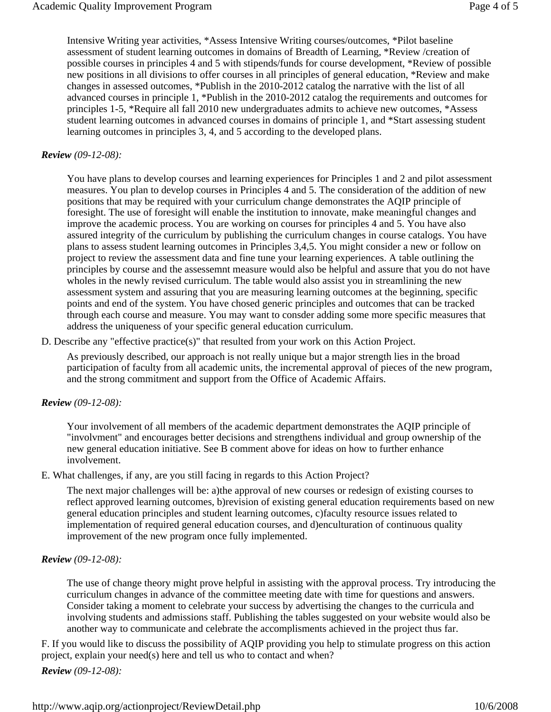Intensive Writing year activities, \*Assess Intensive Writing courses/outcomes, \*Pilot baseline assessment of student learning outcomes in domains of Breadth of Learning, \*Review /creation of possible courses in principles 4 and 5 with stipends/funds for course development, \*Review of possible new positions in all divisions to offer courses in all principles of general education, \*Review and make changes in assessed outcomes, \*Publish in the 2010-2012 catalog the narrative with the list of all advanced courses in principle 1, \*Publish in the 2010-2012 catalog the requirements and outcomes for principles 1-5, \*Require all fall 2010 new undergraduates admits to achieve new outcomes, \*Assess student learning outcomes in advanced courses in domains of principle 1, and \*Start assessing student learning outcomes in principles 3, 4, and 5 according to the developed plans.

#### *Review (09-12-08):*

 points and end of the system. You have chosed generic principles and outcomes that can be tracked You have plans to develop courses and learning experiences for Principles 1 and 2 and pilot assessment measures. You plan to develop courses in Principles 4 and 5. The consideration of the addition of new positions that may be required with your curriculum change demonstrates the AQIP principle of foresight. The use of foresight will enable the institution to innovate, make meaningful changes and improve the academic process. You are working on courses for principles 4 and 5. You have also assured integrity of the curriculum by publishing the curriculum changes in course catalogs. You have plans to assess student learning outcomes in Principles 3,4,5. You might consider a new or follow on project to review the assessment data and fine tune your learning experiences. A table outlining the principles by course and the assessemnt measure would also be helpful and assure that you do not have wholes in the newly revised curriculum. The table would also assist you in streamlining the new assessment system and assuring that you are measuring learning outcomes at the beginning, specific through each course and measure. You may want to consder adding some more specific measures that address the uniqueness of your specific general education curriculum.

D. Describe any "effective practice(s)" that resulted from your work on this Action Project.

As previously described, our approach is not really unique but a major strength lies in the broad participation of faculty from all academic units, the incremental approval of pieces of the new program, and the strong commitment and support from the Office of Academic Affairs.

#### *Review (09-12-08):*

Your involvement of all members of the academic department demonstrates the AQIP principle of "involvment" and encourages better decisions and strengthens individual and group ownership of the new general education initiative. See B comment above for ideas on how to further enhance involvement.

E. What challenges, if any, are you still facing in regards to this Action Project?

The next major challenges will be: a)the approval of new courses or redesign of existing courses to reflect approved learning outcomes, b)revision of existing general education requirements based on new general education principles and student learning outcomes, c)faculty resource issues related to implementation of required general education courses, and d)enculturation of continuous quality improvement of the new program once fully implemented.

#### *Review (09-12-08):*

The use of change theory might prove helpful in assisting with the approval process. Try introducing the curriculum changes in advance of the committee meeting date with time for questions and answers. Consider taking a moment to celebrate your success by advertising the changes to the curricula and involving students and admissions staff. Publishing the tables suggested on your website would also be another way to communicate and celebrate the accomplisments achieved in the project thus far.

F. If you would like to discuss the possibility of AQIP providing you help to stimulate progress on this action project, explain your need(s) here and tell us who to contact and when?

*Review (09-12-08):*